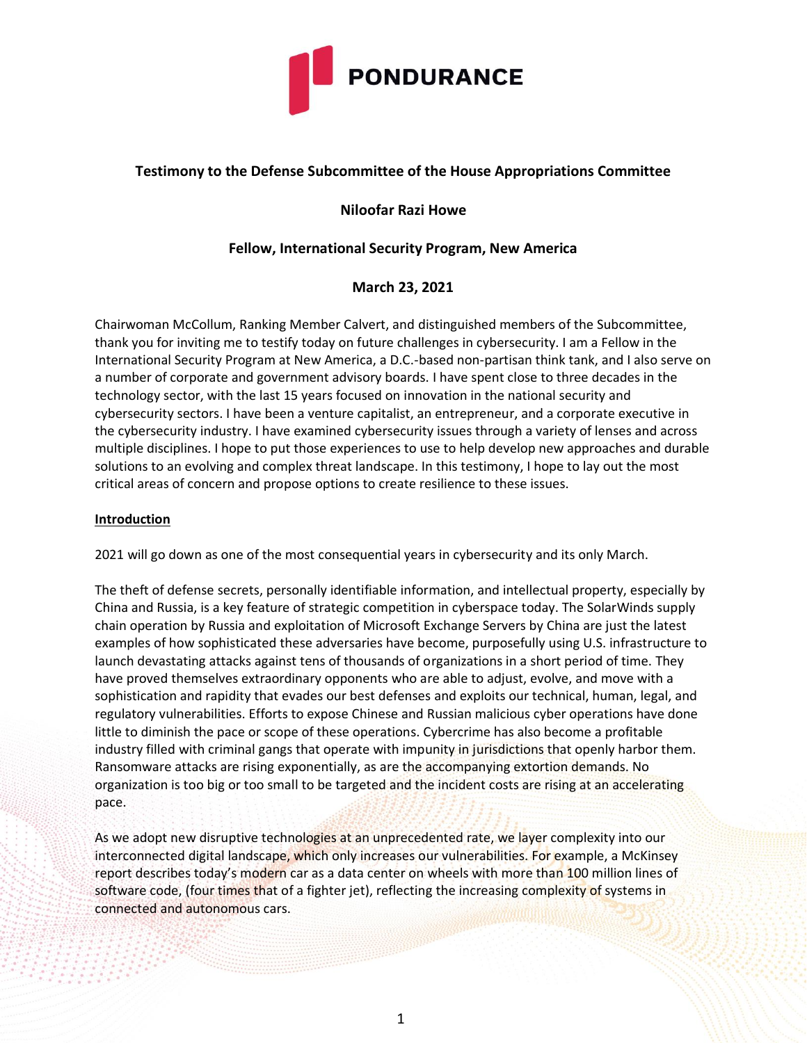

# **Testimony to the Defense Subcommittee of the House Appropriations Committee**

# **Niloofar Razi Howe**

# **Fellow, International Security Program, New America**

## **March 23, 2021**

Chairwoman McCollum, Ranking Member Calvert, and distinguished members of the Subcommittee, thank you for inviting me to testify today on future challenges in cybersecurity. I am a Fellow in the International Security Program at New America, a D.C.-based non-partisan think tank, and I also serve on a number of corporate and government advisory boards. I have spent close to three decades in the technology sector, with the last 15 years focused on innovation in the national security and cybersecurity sectors. I have been a venture capitalist, an entrepreneur, and a corporate executive in the cybersecurity industry. I have examined cybersecurity issues through a variety of lenses and across multiple disciplines. I hope to put those experiences to use to help develop new approaches and durable solutions to an evolving and complex threat landscape. In this testimony, I hope to lay out the most critical areas of concern and propose options to create resilience to these issues.

## **Introduction**

2021 will go down as one of the most consequential years in cybersecurity and its only March.

The theft of defense secrets, personally identifiable information, and intellectual property, especially by China and Russia, is a key feature of strategic competition in cyberspace today. The SolarWinds supply chain operation by Russia and exploitation of Microsoft Exchange Servers by China are just the latest examples of how sophisticated these adversaries have become, purposefully using U.S. infrastructure to launch devastating attacks against tens of thousands of organizations in a short period of time. They have proved themselves extraordinary opponents who are able to adjust, evolve, and move with a sophistication and rapidity that evades our best defenses and exploits our technical, human, legal, and regulatory vulnerabilities. Efforts to expose Chinese and Russian malicious cyber operations have done little to diminish the pace or scope of these operations. Cybercrime has also become a profitable industry filled with criminal gangs that operate with impunity in jurisdictions that openly harbor them. Ransomware attacks are rising exponentially, as are the accompanying extortion demands. No organization is too big or too small to be targeted and the incident costs are rising at an accelerating pace.

As we adopt new disruptive technologies at an unprecedented rate, we layer complexity into our interconnected digital landscape, which only increases our vulnerabilities. For example, a McKinsey report describes today's modern car as a data center on wheels with more than 100 million lines of software code, (four times that of a fighter jet), reflecting the increasing complexity of systems in connected and autonomous cars.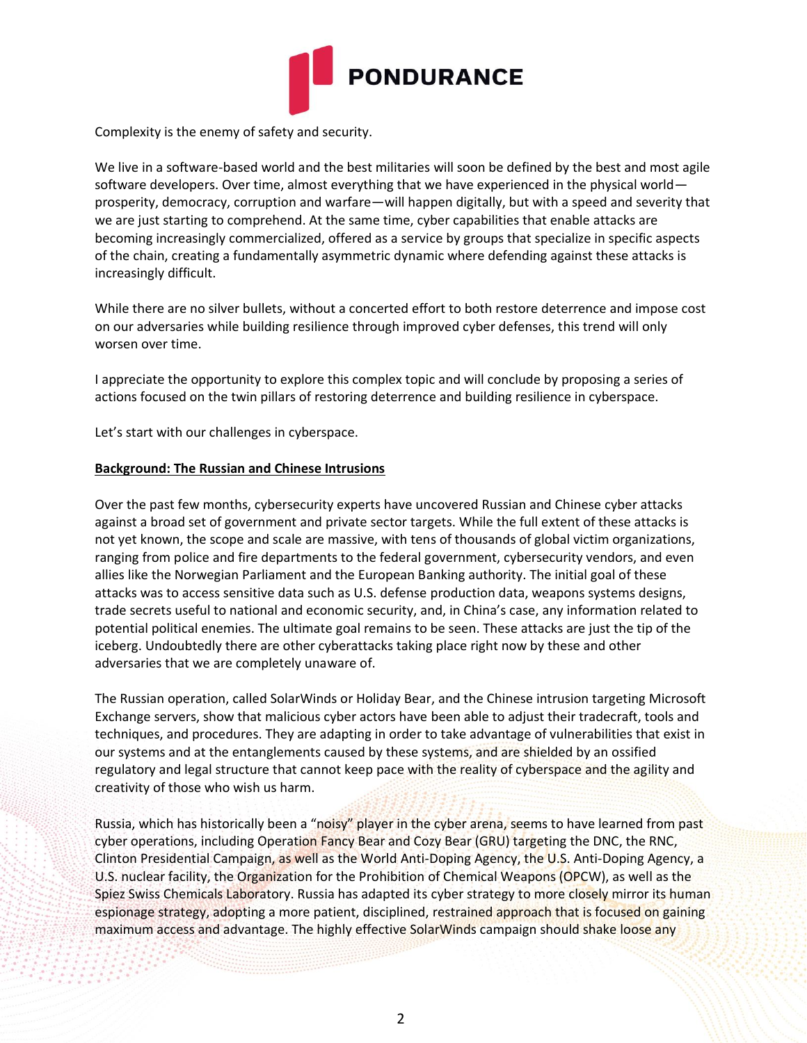

Complexity is the enemy of safety and security.

We live in a software-based world and the best militaries will soon be defined by the best and most agile software developers. Over time, almost everything that we have experienced in the physical world prosperity, democracy, corruption and warfare—will happen digitally, but with a speed and severity that we are just starting to comprehend. At the same time, cyber capabilities that enable attacks are becoming increasingly commercialized, offered as a service by groups that specialize in specific aspects of the chain, creating a fundamentally asymmetric dynamic where defending against these attacks is increasingly difficult.

While there are no silver bullets, without a concerted effort to both restore deterrence and impose cost on our adversaries while building resilience through improved cyber defenses, this trend will only worsen over time.

I appreciate the opportunity to explore this complex topic and will conclude by proposing a series of actions focused on the twin pillars of restoring deterrence and building resilience in cyberspace.

Let's start with our challenges in cyberspace.

#### **Background: The Russian and Chinese Intrusions**

Over the past few months, cybersecurity experts have uncovered Russian and Chinese cyber attacks against a broad set of government and private sector targets. While the full extent of these attacks is not yet known, the scope and scale are massive, with tens of thousands of global victim organizations, ranging from police and fire departments to the federal government, cybersecurity vendors, and even allies like the Norwegian Parliament and the European Banking authority. The initial goal of these attacks was to access sensitive data such as U.S. defense production data, weapons systems designs, trade secrets useful to national and economic security, and, in China's case, any information related to potential political enemies. The ultimate goal remains to be seen. These attacks are just the tip of the iceberg. Undoubtedly there are other cyberattacks taking place right now by these and other adversaries that we are completely unaware of.

The Russian operation, called SolarWinds or Holiday Bear, and the Chinese intrusion targeting Microsoft Exchange servers, show that malicious cyber actors have been able to adjust their tradecraft, tools and techniques, and procedures. They are adapting in order to take advantage of vulnerabilities that exist in our systems and at the entanglements caused by these systems, and are shielded by an ossified regulatory and legal structure that cannot keep pace with the reality of cyberspace and the agility and creativity of those who wish us harm.

Russia, which has historically been a "noisy" player in the cyber arena, seems to have learned from past cyber operations, including Operation Fancy Bear and Cozy Bear (GRU) targeting the DNC, the RNC, Clinton Presidential Campaign, as well as the World Anti-Doping Agency, the U.S. Anti-Doping Agency, a U.S. nuclear facility, the Organization for the Prohibition of Chemical Weapons (OPCW), as well as the Spiez Swiss Chemicals Laboratory. Russia has adapted its cyber strategy to more closely mirror its human espionage strategy, adopting a more patient, disciplined, restrained approach that is focused on gaining maximum access and advantage. The highly effective SolarWinds campaign should shake loose any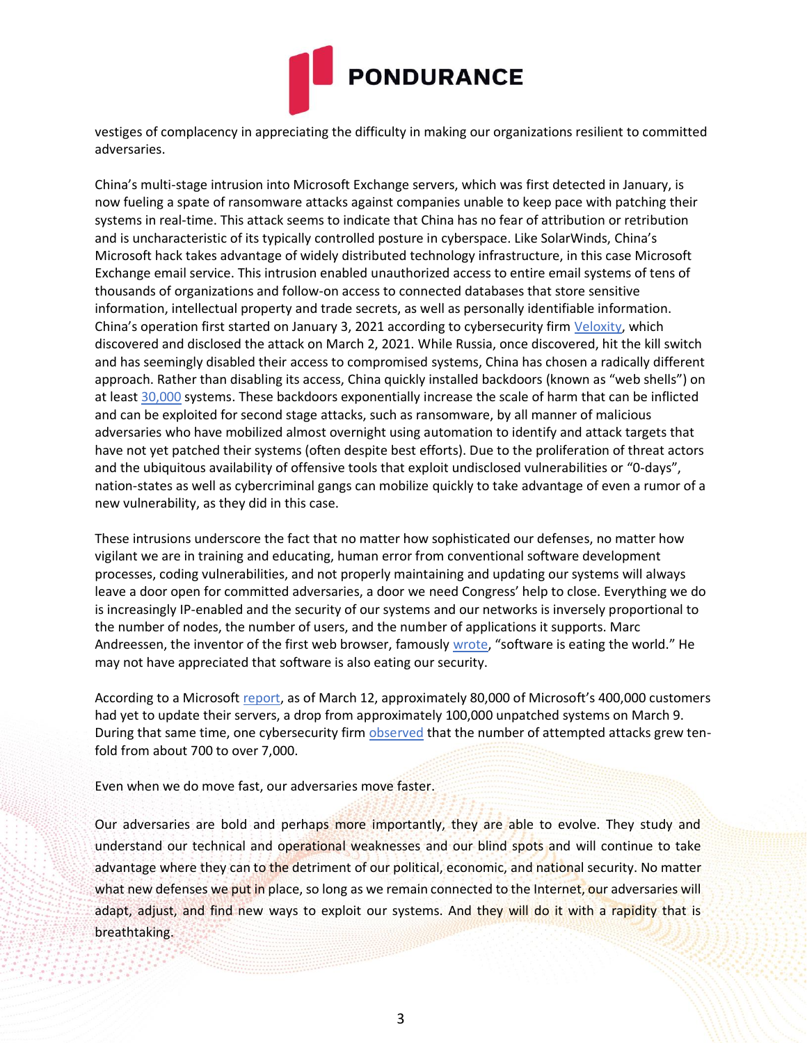

vestiges of complacency in appreciating the difficulty in making our organizations resilient to committed adversaries.

China's multi-stage intrusion into Microsoft Exchange servers, which was first detected in January, is now fueling a spate of ransomware attacks against companies unable to keep pace with patching their systems in real-time. This attack seems to indicate that China has no fear of attribution or retribution and is uncharacteristic of its typically controlled posture in cyberspace. Like SolarWinds, China's Microsoft hack takes advantage of widely distributed technology infrastructure, in this case Microsoft Exchange email service. This intrusion enabled unauthorized access to entire email systems of tens of thousands of organizations and follow-on access to connected databases that store sensitive information, intellectual property and trade secrets, as well as personally identifiable information. China's operation first started on January 3, 2021 according to cybersecurity firm [Veloxity, w](https://www.volexity.com/blog/2021/03/02/active-exploitation-of-microsoft-exchange-zero-day-vulnerabilities/)hich discovered and disclosed the attack on March 2, 2021. While Russia, once discovered, hit the kill switch and has seemingly disabled their access to compromised systems, China has chosen a radically different approach. Rather than disabling its access, China quickly installed backdoors (known as "web shells") on at least [30,000](https://krebsonsecurity.com/2021/03/at-least-30000-u-s-organizations-newly-hacked-via-holes-in-microsofts-email-software/) systems. These backdoors exponentially increase the scale of harm that can be inflicted and can be exploited for second stage attacks, such as ransomware, by all manner of malicious adversaries who have mobilized almost overnight using automation to identify and attack targets that have not yet patched their systems (often despite best efforts). Due to the proliferation of threat actors and the ubiquitous availability of offensive tools that exploit undisclosed vulnerabilities or "0-days", nation-states as well as cybercriminal gangs can mobilize quickly to take advantage of even a rumor of a new vulnerability, as they did in this case.

These intrusions underscore the fact that no matter how sophisticated our defenses, no matter how vigilant we are in training and educating, human error from conventional software development processes, coding vulnerabilities, and not properly maintaining and updating our systems will always leave a door open for committed adversaries, a door we need Congress' help to close. Everything we do is increasingly IP-enabled and the security of our systems and our networks is inversely proportional to the number of nodes, the number of users, and the number of applications it supports. Marc Andreessen, the inventor of the first web browser, famously [wrote,](https://a16z.com/2011/08/20/why-software-is-eating-the-world/) "software is eating the world." He may not have appreciated that software is also eating our security.

According to a Microsoft [report,](https://www.microsoft.com/security/blog/2021/03/12/protecting-on-premises-exchange-servers-against-recent-attacks/) as of March 12, approximately 80,000 of Microsoft's 400,000 customers had yet to update their servers, a drop from approximately 100,000 unpatched systems on March 9. During that same time, one cybersecurity firm [observed](https://blog.checkpoint.com/2021/03/11/exploits-on-organizations-worldwide/) that the number of attempted attacks grew tenfold from about 700 to over 7,000.

Even when we do move fast, our adversaries move faster.

Our adversaries are bold and perhaps more importantly, they are able to evolve. They study and understand our technical and operational weaknesses and our blind spots and will continue to take advantage where they can to the detriment of our political, economic, and national security. No matter what new defenses we put in place, so long as we remain connected to the Internet, our adversaries will adapt, adjust, and find new ways to exploit our systems. And they will do it with a rapidity that is breathtaking.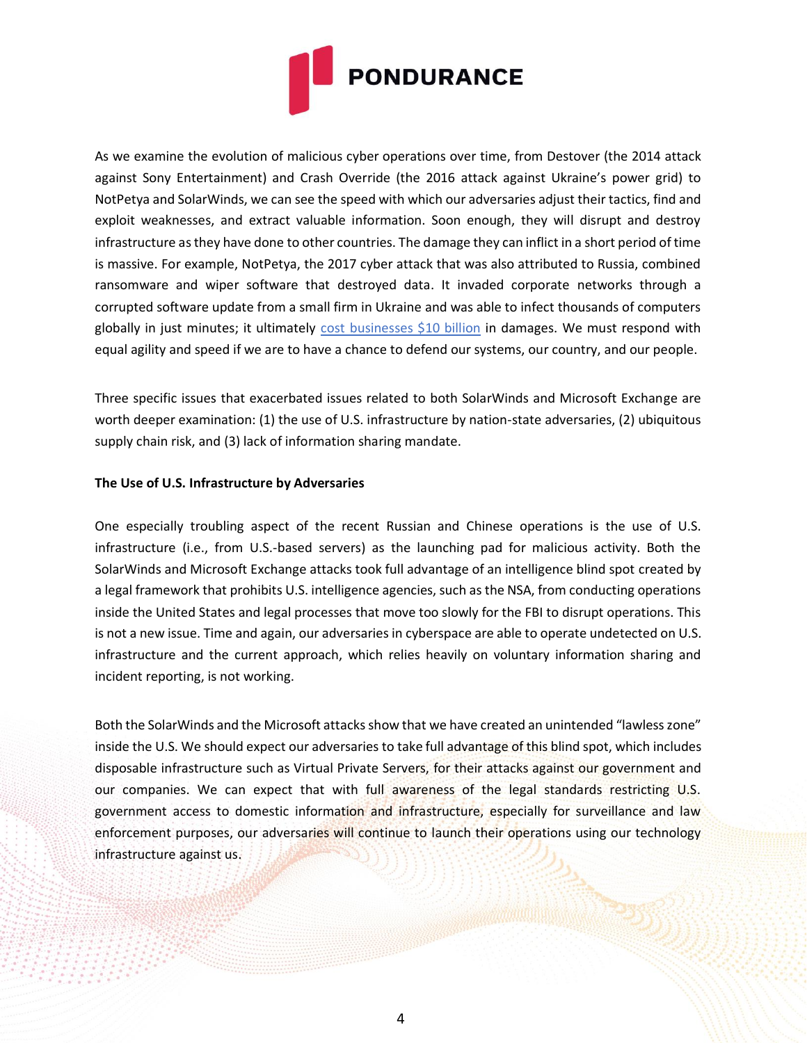

As we examine the evolution of malicious cyber operations over time, from Destover (the 2014 attack against Sony Entertainment) and Crash Override (the 2016 attack against Ukraine's power grid) to NotPetya and SolarWinds, we can see the speed with which our adversaries adjust their tactics, find and exploit weaknesses, and extract valuable information. Soon enough, they will disrupt and destroy infrastructure as they have done to other countries. The damage they can inflict in a short period of time is massive. For example, NotPetya, the 2017 cyber attack that was also attributed to Russia, combined ransomware and wiper software that destroyed data. It invaded corporate networks through a corrupted software update from a small firm in Ukraine and was able to infect thousands of computers globally in just minutes; it ultimately [cost businesses \\$10 billion](https://www.wired.com/story/us-solarwinds-russia-retaliation-cyber-policy/) in damages. We must respond with equal agility and speed if we are to have a chance to defend our systems, our country, and our people.

Three specific issues that exacerbated issues related to both SolarWinds and Microsoft Exchange are worth deeper examination: (1) the use of U.S. infrastructure by nation-state adversaries, (2) ubiquitous supply chain risk, and (3) lack of information sharing mandate.

#### **The Use of U.S. Infrastructure by Adversaries**

One especially troubling aspect of the recent Russian and Chinese operations is the use of U.S. infrastructure (i.e., from U.S.-based servers) as the launching pad for malicious activity. Both the SolarWinds and Microsoft Exchange attacks took full advantage of an intelligence blind spot created by a legal framework that prohibits U.S. intelligence agencies, such as the NSA, from conducting operations inside the United States and legal processes that move too slowly for the FBI to disrupt operations. This is not a new issue. Time and again, our adversaries in cyberspace are able to operate undetected on U.S. infrastructure and the current approach, which relies heavily on voluntary information sharing and incident reporting, is not working.

Both the SolarWinds and the Microsoft attacks show that we have created an unintended "lawless zone" inside the U.S. We should expect our adversaries to take full advantage of this blind spot, which includes disposable infrastructure such as Virtual Private Servers, for their attacks against our government and our companies. We can expect that with full awareness of the legal standards restricting U.S. government access to domestic information and infrastructure, especially for surveillance and law enforcement purposes, our adversaries will continue to launch their operations using our technology infrastructure against us.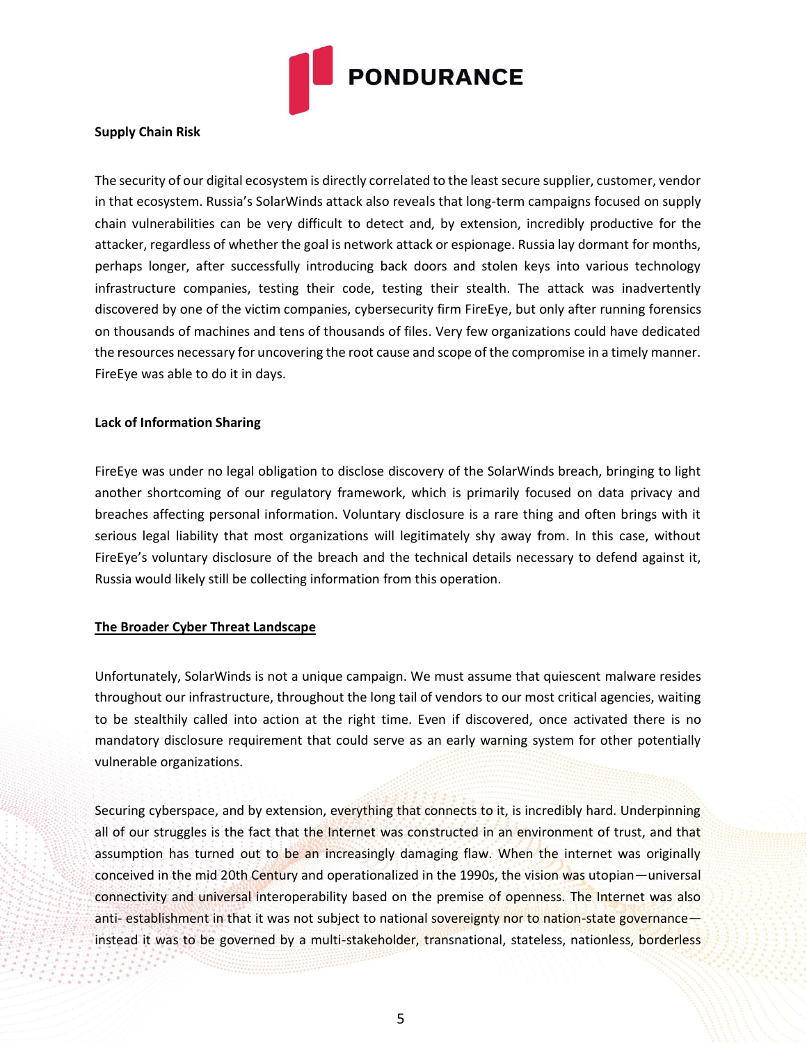

#### **Supply Chain Risk**

The security of our digital ecosystem is directly correlated to the least secure supplier, customer, vendor in that ecosystem. Russia's SolarWinds attack also reveals that long-term campaigns focused on supply chain vulnerabilities can be very difficult to detect and, by extension, incredibly productive for the attacker, regardless of whether the goal is network attack or espionage. Russia lay dormant for months, perhaps longer, after successfully introducing back doors and stolen keys into various technology infrastructure companies, testing their code, testing their stealth. The attack was inadvertently discovered by one of the victim companies, cybersecurity firm FireEye, but only after running forensics on thousands of machines and tens of thousands of files. Very few organizations could have dedicated the resources necessary for uncovering the root cause and scope of the compromise in a timely manner. FireEye was able to do it in days.

#### **Lack of Information Sharing**

FireEye was under no legal obligation to disclose discovery of the SolarWinds breach, bringing to light another shortcoming of our regulatory framework, which is primarily focused on data privacy and breaches affecting personal information. Voluntary disclosure is a rare thing and often brings with it serious legal liability that most organizations will legitimately shy away from. In this case, without FireEye's voluntary disclosure of the breach and the technical details necessary to defend against it, Russia would likely still be collecting information from this operation.

## **The Broader Cyber Threat Landscape**

Unfortunately, SolarWinds is not a unique campaign. We must assume that quiescent malware resides throughout our infrastructure, throughout the long tail of vendors to our most critical agencies, waiting to be stealthily called into action at the right time. Even if discovered, once activated there is no mandatory disclosure requirement that could serve as an early warning system for other potentially vulnerable organizations.

Securing cyberspace, and by extension, everything that connects to it, is incredibly hard. Underpinning all of our struggles is the fact that the Internet was constructed in an environment of trust, and that assumption has turned out to be an increasingly damaging flaw. When the internet was originally conceived in the mid 20th Century and operationalized in the 1990s, the vision was utopian—universal connectivity and universal interoperability based on the premise of openness. The Internet was also anti- establishment in that it was not subject to national sovereignty nor to nation-state governanceinstead it was to be governed by a multi-stakeholder, transnational, stateless, nationless, borderless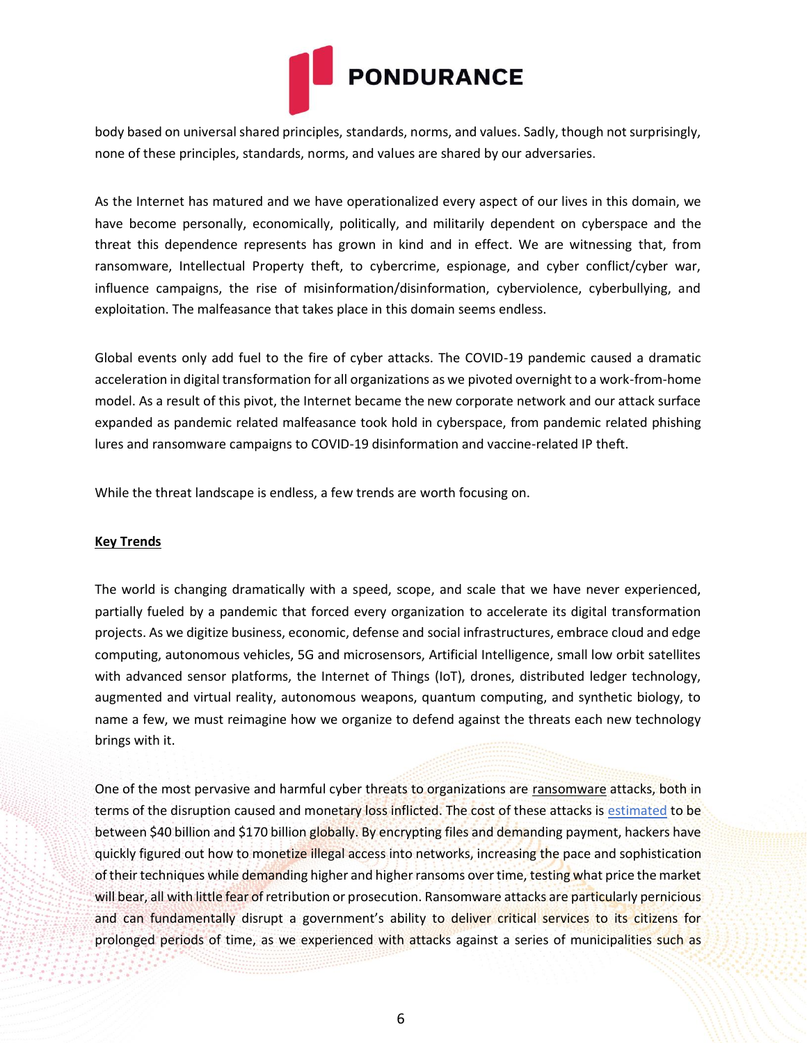

body based on universal shared principles, standards, norms, and values. Sadly, though not surprisingly, none of these principles, standards, norms, and values are shared by our adversaries.

As the Internet has matured and we have operationalized every aspect of our lives in this domain, we have become personally, economically, politically, and militarily dependent on cyberspace and the threat this dependence represents has grown in kind and in effect. We are witnessing that, from ransomware, Intellectual Property theft, to cybercrime, espionage, and cyber conflict/cyber war, influence campaigns, the rise of misinformation/disinformation, cyberviolence, cyberbullying, and exploitation. The malfeasance that takes place in this domain seems endless.

Global events only add fuel to the fire of cyber attacks. The COVID-19 pandemic caused a dramatic acceleration in digital transformation for all organizations as we pivoted overnight to a work-from-home model. As a result of this pivot, the Internet became the new corporate network and our attack surface expanded as pandemic related malfeasance took hold in cyberspace, from pandemic related phishing lures and ransomware campaigns to COVID-19 disinformation and vaccine-related IP theft.

While the threat landscape is endless, a few trends are worth focusing on.

## **Key Trends**

The world is changing dramatically with a speed, scope, and scale that we have never experienced, partially fueled by a pandemic that forced every organization to accelerate its digital transformation projects. As we digitize business, economic, defense and social infrastructures, embrace cloud and edge computing, autonomous vehicles, 5G and microsensors, Artificial Intelligence, small low orbit satellites with advanced sensor platforms, the Internet of Things (IoT), drones, distributed ledger technology, augmented and virtual reality, autonomous weapons, quantum computing, and synthetic biology, to name a few, we must reimagine how we organize to defend against the threats each new technology brings with it.

One of the most pervasive and harmful cyber threats to organizations are ransomware attacks, both in terms of the disruption caused and monetary loss inflicted. The cost of these attacks is [estimated](https://www.msspalert.com/cybersecurity-breaches-and-attacks/ransomware/demand-costs-2020-research/) to be between \$40 billion and \$170 billion globally. By encrypting files and demanding payment, hackers have quickly figured out how to monetize illegal access into networks, increasing the pace and sophistication of their techniques while demanding higher and higher ransoms over time, testing what price the market will bear, all with little fear of retribution or prosecution. Ransomware attacks are particularly pernicious and can fundamentally disrupt a government's ability to deliver critical services to its citizens for prolonged periods of time, as we experienced with attacks against a series of municipalities such as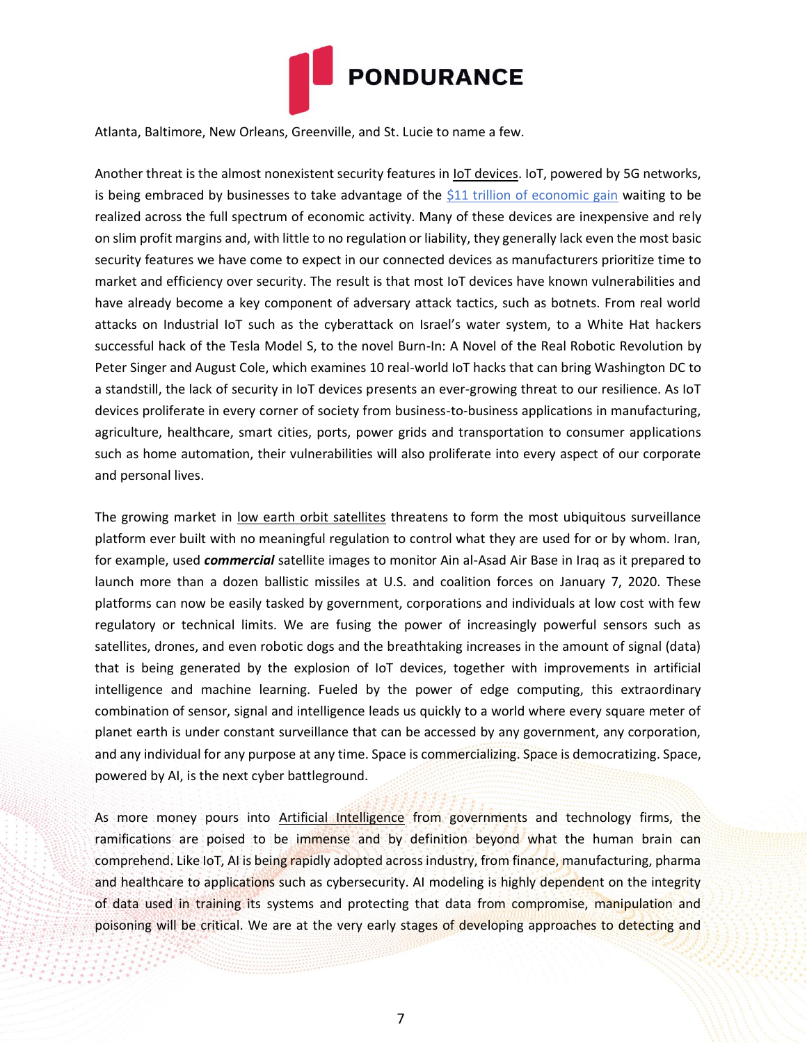

Atlanta, Baltimore, New Orleans, Greenville, and St. Lucie to name a few.

Another threat is the almost nonexistent security features in **IoT devices**. IoT, powered by 5G networks, is being embraced by businesses to take advantage of the [\\$11 trillion of economic gain](https://www.mckinsey.com/business-functions/mckinsey-digital/our-insights/the-internet-of-things-the-value-of-digitizing-the-physical-world) waiting to be realized across the full spectrum of economic activity. Many of these devices are inexpensive and rely on slim profit margins and, with little to no regulation or liability, they generally lack even the most basic security features we have come to expect in our connected devices as manufacturers prioritize time to market and efficiency over security. The result is that most IoT devices have known vulnerabilities and have already become a key component of adversary attack tactics, such as botnets. From real world attacks on Industrial IoT such as the cyberattack on Israel's water system, to a White Hat hackers successful hack of the Tesla Model S, to the novel Burn-In: A Novel of the Real Robotic Revolution by Peter Singer and August Cole, which examines 10 real-world IoT hacks that can bring Washington DC to a standstill, the lack of security in IoT devices presents an ever-growing threat to our resilience. As IoT devices proliferate in every corner of society from business-to-business applications in manufacturing, agriculture, healthcare, smart cities, ports, power grids and transportation to consumer applications such as home automation, their vulnerabilities will also proliferate into every aspect of our corporate and personal lives.

The growing market in low earth orbit satellites threatens to form the most ubiquitous surveillance platform ever built with no meaningful regulation to control what they are used for or by whom. Iran, for example, used *commercial* satellite images to monitor Ain al-Asad Air Base in Iraq as it prepared to launch more than a dozen ballistic missiles at U.S. and coalition forces on January 7, 2020. These platforms can now be easily tasked by government, corporations and individuals at low cost with few regulatory or technical limits. We are fusing the power of increasingly powerful sensors such as satellites, drones, and even robotic dogs and the breathtaking increases in the amount of signal (data) that is being generated by the explosion of IoT devices, together with improvements in artificial intelligence and machine learning. Fueled by the power of edge computing, this extraordinary combination of sensor, signal and intelligence leads us quickly to a world where every square meter of planet earth is under constant surveillance that can be accessed by any government, any corporation, and any individual for any purpose at any time. Space is commercializing. Space is democratizing. Space, powered by AI, is the next cyber battleground.

As more money pours into Artificial Intelligence from governments and technology firms, the ramifications are poised to be immense and by definition beyond what the human brain can comprehend. Like IoT, AI is being rapidly adopted across industry, from finance, manufacturing, pharma and healthcare to applications such as cybersecurity. AI modeling is highly dependent on the integrity of data used in training its systems and protecting that data from compromise, manipulation and poisoning will be critical. We are at the very early stages of developing approaches to detecting and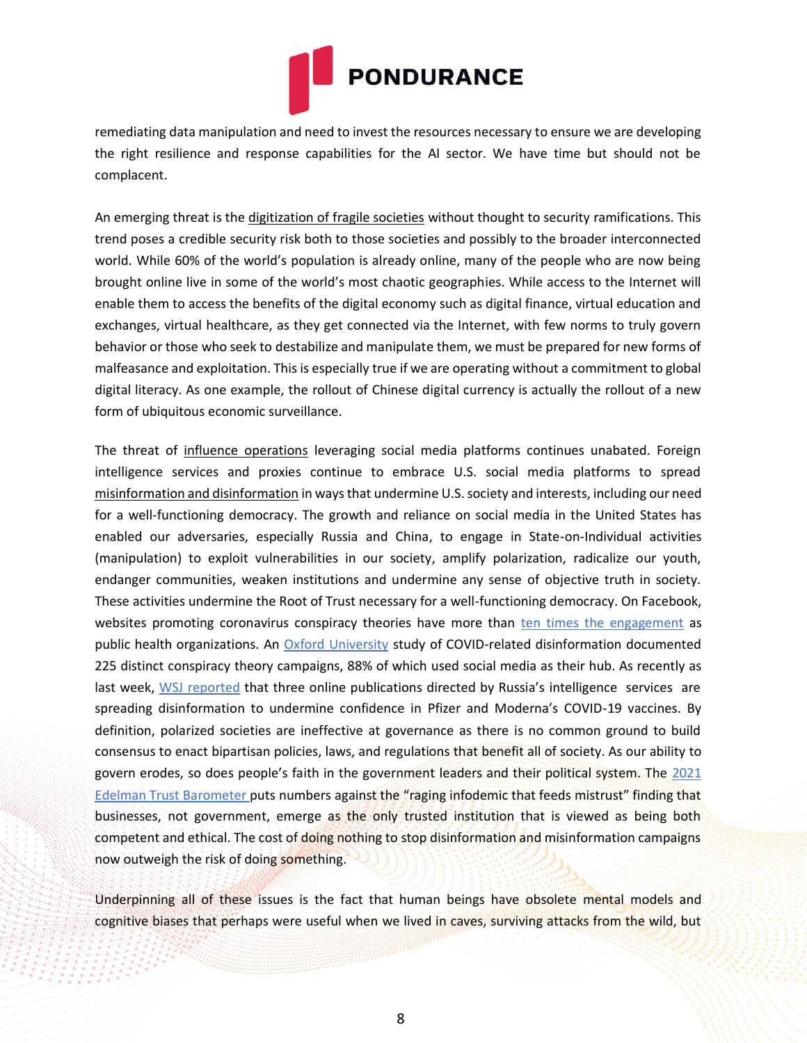

remediating data manipulation and need to invest the resources necessary to ensure we are developing the right resilience and response capabilities for the AI sector. We have time but should not be complacent.

An emerging threat is the digitization of fragile societies without thought to security ramifications. This trend poses a credible security risk both to those societies and possibly to the broader interconnected world. While 60% of the world's population is already online, many of the people who are now being brought online live in some of the world's most chaotic geographies. While access to the Internet will enable them to access the benefits of the digital economy such as digital finance, virtual education and exchanges, virtual healthcare, as they get connected via the Internet, with few norms to truly govern behavior or those who seek to destabilize and manipulate them, we must be prepared for new forms of malfeasance and exploitation. This is especially true if we are operating without a commitment to global digital literacy. As one example, the rollout of Chinese digital currency is actually the rollout of a new form of ubiquitous economic surveillance.

The threat of influence operations leveraging social media platforms continues unabated. Foreign intelligence services and proxies continue to embrace U.S. social media platforms to spread misinformation and disinformation in ways that undermine U.S. society and interests, including our need for a well-functioning democracy. The growth and reliance on social media in the United States has enabled our adversaries, especially Russia and China, to engage in State-on-Individual activities (manipulation) to exploit vulnerabilities in our society, amplify polarization, radicalize our youth, endanger communities, weaken institutions and undermine any sense of objective truth in society. These activities undermine the Root of Trust necessary for a well-functioning democracy. On Facebook, websites promoting coronavirus conspiracy theories have more than [ten times the engagement](https://www.isdglobal.org/wp-content/uploads/2020/05/20200513-ISDG-Weekly-Briefing-3b.pdf) as public health organizations. An [Oxford University](https://reutersinstitute.politics.ox.ac.uk/types-sources-and-claims-covid-19-misinformation) study of COVID-related disinformation documented 225 distinct conspiracy theory campaigns, 88% of which used social media as their hub. As recently as last week, [WSJ](https://www.wsj.com/articles/russian-disinformation-campaign-aims-to-undermine-confidence-in-pfizer-other-covid-19-vaccines-u-s-officials-say-11615129200) [reported](https://www.wsj.com/articles/russian-disinformation-campaign-aims-to-undermine-confidence-in-pfizer-other-covid-19-vaccines-u-s-officials-say-11615129200) that three online publications directed by Russia's intelligence services are spreading disinformation to undermine confidence in Pfizer and Moderna's COVID-19 vaccines. By definition, polarized societies are ineffective at governance as there is no common ground to build consensus to enact bipartisan policies, laws, and regulations that benefit all of society. As our ability to govern erodes, so does people's faith in the government leaders and their political system. The [2021](https://www.edelman.com/sites/g/files/aatuss191/files/2021-03/2021%20Edelman%20Trust%20Barometer.pdf)  [Edelman Trust](https://www.edelman.com/sites/g/files/aatuss191/files/2021-03/2021%20Edelman%20Trust%20Barometer.pdf) [Barometer](https://www.edelman.com/sites/g/files/aatuss191/files/2021-03/2021%20Edelman%20Trust%20Barometer.pdf) puts numbers against the "raging infodemic that feeds mistrust" finding that businesses, not government, emerge as the only trusted institution that is viewed as being both competent and ethical. The cost of doing nothing to stop disinformation and misinformation campaigns now outweigh the risk of doing something.

Underpinning all of these issues is the fact that human beings have obsolete mental models and cognitive biases that perhaps were useful when we lived in caves, surviving attacks from the wild, but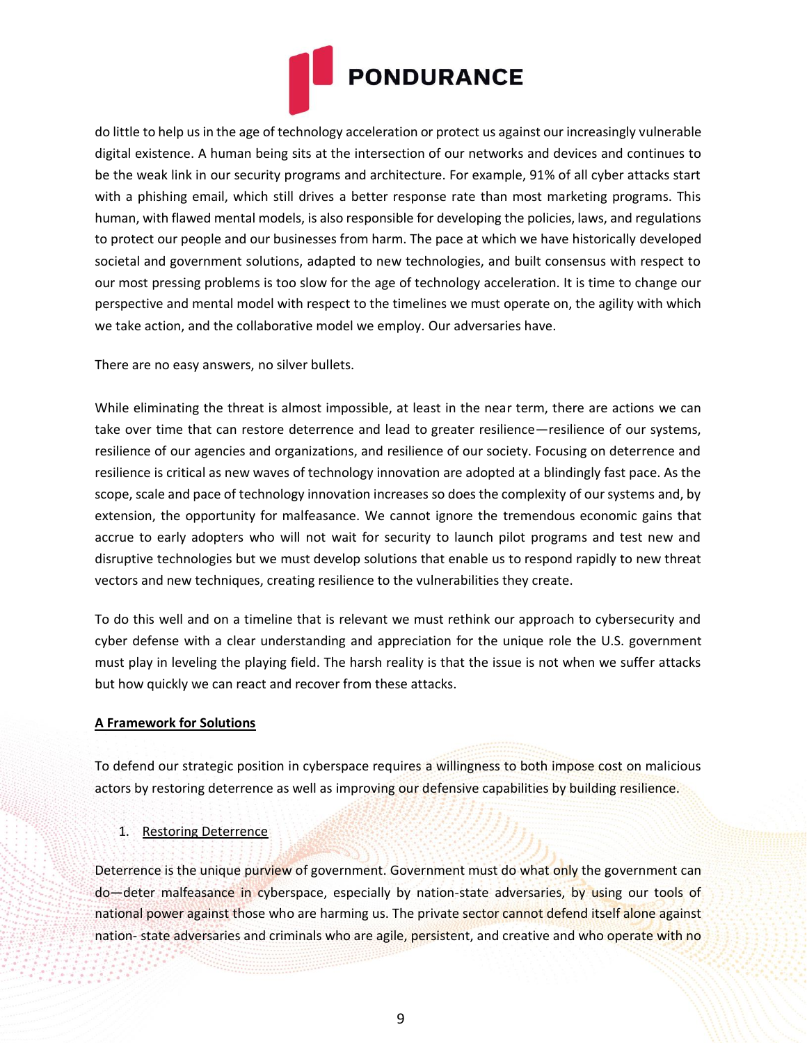

do little to help us in the age of technology acceleration or protect us against our increasingly vulnerable digital existence. A human being sits at the intersection of our networks and devices and continues to be the weak link in our security programs and architecture. For example, 91% of all cyber attacks start with a phishing email, which still drives a better response rate than most marketing programs. This human, with flawed mental models, is also responsible for developing the policies, laws, and regulations to protect our people and our businesses from harm. The pace at which we have historically developed societal and government solutions, adapted to new technologies, and built consensus with respect to our most pressing problems is too slow for the age of technology acceleration. It is time to change our perspective and mental model with respect to the timelines we must operate on, the agility with which we take action, and the collaborative model we employ. Our adversaries have.

There are no easy answers, no silver bullets.

While eliminating the threat is almost impossible, at least in the near term, there are actions we can take over time that can restore deterrence and lead to greater resilience—resilience of our systems, resilience of our agencies and organizations, and resilience of our society. Focusing on deterrence and resilience is critical as new waves of technology innovation are adopted at a blindingly fast pace. As the scope, scale and pace of technology innovation increases so does the complexity of our systems and, by extension, the opportunity for malfeasance. We cannot ignore the tremendous economic gains that accrue to early adopters who will not wait for security to launch pilot programs and test new and disruptive technologies but we must develop solutions that enable us to respond rapidly to new threat vectors and new techniques, creating resilience to the vulnerabilities they create.

To do this well and on a timeline that is relevant we must rethink our approach to cybersecurity and cyber defense with a clear understanding and appreciation for the unique role the U.S. government must play in leveling the playing field. The harsh reality is that the issue is not when we suffer attacks but how quickly we can react and recover from these attacks.

## **A Framework for Solutions**

To defend our strategic position in cyberspace requires a willingness to both impose cost on malicious actors by restoring deterrence as well as improving our defensive capabilities by building resilience.

## 1. Restoring Deterrence

Deterrence is the unique purview of government. Government must do what only the government can do—deter malfeasance in cyberspace, especially by nation-state adversaries, by using our tools of national power against those who are harming us. The private sector cannot defend itself alone against nation- state adversaries and criminals who are agile, persistent, and creative and who operate with no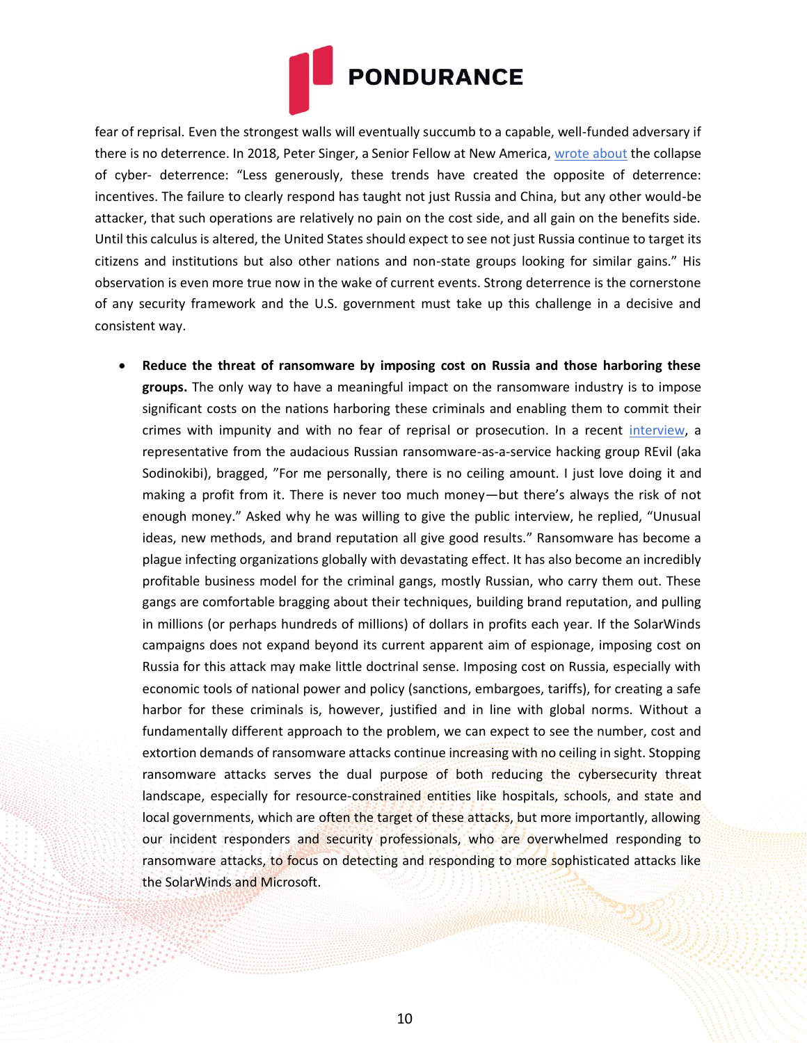

fear of reprisal. Even the strongest walls will eventually succumb to a capable, well-funded adversary if there is no deterrence. In 2018, Peter Singer, a Senior Fellow at New America, [wrote about](https://warontherocks.com/2018/01/2018-state-digital-union-seven-deadly-sins-cyber-security-must-face/) the collapse of cyber- deterrence: "Less generously, these trends have created the opposite of deterrence: incentives. The failure to clearly respond has taught not just Russia and China, but any other would-be attacker, that such operations are relatively no pain on the cost side, and all gain on the benefits side. Until this calculus is altered, the United States should expect to see not just Russia continue to target its citizens and institutions but also other nations and non-state groups looking for similar gains." His observation is even more true now in the wake of current events. Strong deterrence is the cornerstone of any security framework and the U.S. government must take up this challenge in a decisive and consistent way.

• **Reduce the threat of ransomware by imposing cost on Russia and those harboring these groups.** The only way to have a meaningful impact on the ransomware industry is to impose significant costs on the nations harboring these criminals and enabling them to commit their crimes with impunity and with no fear of reprisal or prosecution. In a recent [interview, a](https://therecord.media/i-scrounged-through-the-trash-heaps-now-im-a-millionaire-an-interview-with-revils-unknown/) representative from the audacious Russian ransomware-as-a-service hacking group REvil (aka Sodinokibi), bragged, "For me personally, there is no ceiling amount. I just love doing it and making a profit from it. There is never too much money—but there's always the risk of not enough money." Asked why he was willing to give the public interview, he replied, "Unusual ideas, new methods, and brand reputation all give good results." Ransomware has become a plague infecting organizations globally with devastating effect. It has also become an incredibly profitable business model for the criminal gangs, mostly Russian, who carry them out. These gangs are comfortable bragging about their techniques, building brand reputation, and pulling in millions (or perhaps hundreds of millions) of dollars in profits each year. If the SolarWinds campaigns does not expand beyond its current apparent aim of espionage, imposing cost on Russia for this attack may make little doctrinal sense. Imposing cost on Russia, especially with economic tools of national power and policy (sanctions, embargoes, tariffs), for creating a safe harbor for these criminals is, however, justified and in line with global norms. Without a fundamentally different approach to the problem, we can expect to see the number, cost and extortion demands of ransomware attacks continue increasing with no ceiling in sight. Stopping ransomware attacks serves the dual purpose of both reducing the cybersecurity threat landscape, especially for resource-constrained entities like hospitals, schools, and state and local governments, which are often the target of these attacks, but more importantly, allowing our incident responders and security professionals, who are overwhelmed responding to ransomware attacks, to focus on detecting and responding to more sophisticated attacks like the SolarWinds and Microsoft.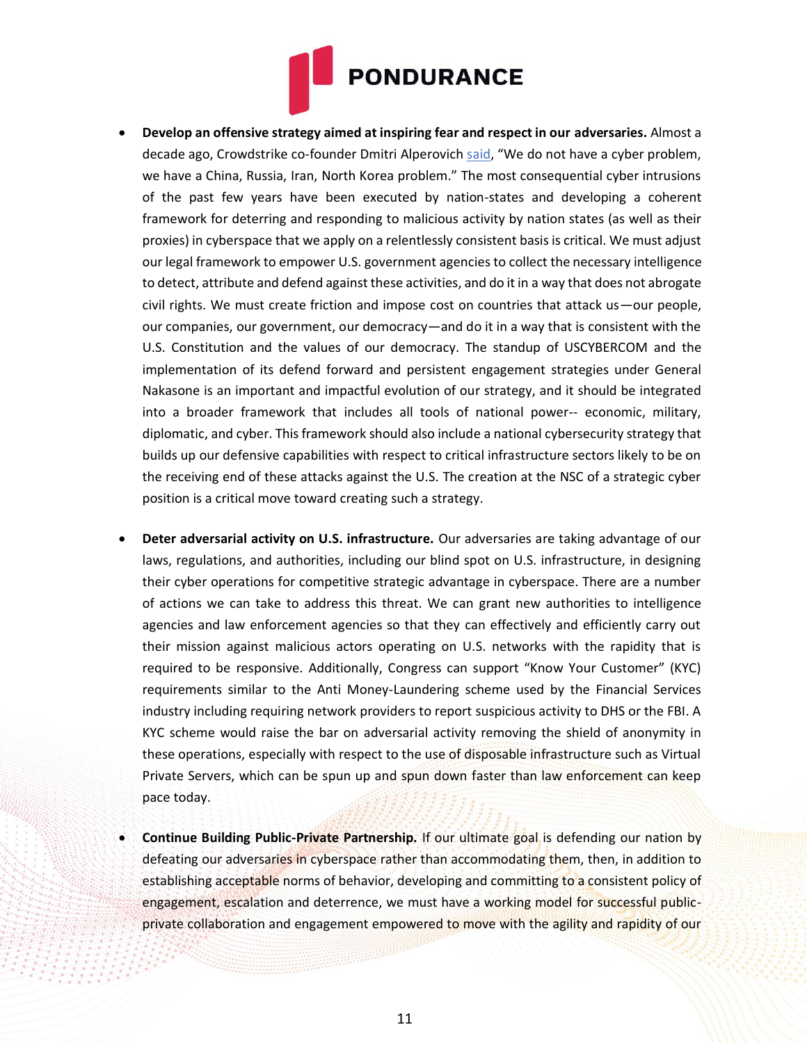

- **Develop an offensive strategy aimed at inspiring fear and respect in our adversaries.** Almost a decade ago, Crowdstrike co-founder Dmitri Alperovich [said,](https://www.defenseone.com/ideas/2021/02/five-ways-congress-should-improve-cybersecurity/171985/) "We do not have a cyber problem, we have a China, Russia, Iran, North Korea problem." The most consequential cyber intrusions of the past few years have been executed by nation-states and developing a coherent framework for deterring and responding to malicious activity by nation states (as well as their proxies) in cyberspace that we apply on a relentlessly consistent basis is critical. We must adjust our legal framework to empower U.S. government agencies to collect the necessary intelligence to detect, attribute and defend against these activities, and do it in a way that does not abrogate civil rights. We must create friction and impose cost on countries that attack us—our people, our companies, our government, our democracy—and do it in a way that is consistent with the U.S. Constitution and the values of our democracy. The standup of USCYBERCOM and the implementation of its defend forward and persistent engagement strategies under General Nakasone is an important and impactful evolution of our strategy, and it should be integrated into a broader framework that includes all tools of national power-- economic, military, diplomatic, and cyber. This framework should also include a national cybersecurity strategy that builds up our defensive capabilities with respect to critical infrastructure sectors likely to be on the receiving end of these attacks against the U.S. The creation at the NSC of a strategic cyber position is a critical move toward creating such a strategy.
- **Deter adversarial activity on U.S. infrastructure.** Our adversaries are taking advantage of our laws, regulations, and authorities, including our blind spot on U.S. infrastructure, in designing their cyber operations for competitive strategic advantage in cyberspace. There are a number of actions we can take to address this threat. We can grant new authorities to intelligence agencies and law enforcement agencies so that they can effectively and efficiently carry out their mission against malicious actors operating on U.S. networks with the rapidity that is required to be responsive. Additionally, Congress can support "Know Your Customer" (KYC) requirements similar to the Anti Money-Laundering scheme used by the Financial Services industry including requiring network providers to report suspicious activity to DHS or the FBI. A KYC scheme would raise the bar on adversarial activity removing the shield of anonymity in these operations, especially with respect to the use of disposable infrastructure such as Virtual Private Servers, which can be spun up and spun down faster than law enforcement can keep pace today.
- **Continue Building Public-Private Partnership.** If our ultimate goal is defending our nation by defeating our adversaries in cyberspace rather than accommodating them, then, in addition to establishing acceptable norms of behavior, developing and committing to a consistent policy of engagement, escalation and deterrence, we must have a working model for successful publicprivate collaboration and engagement empowered to move with the agility and rapidity of our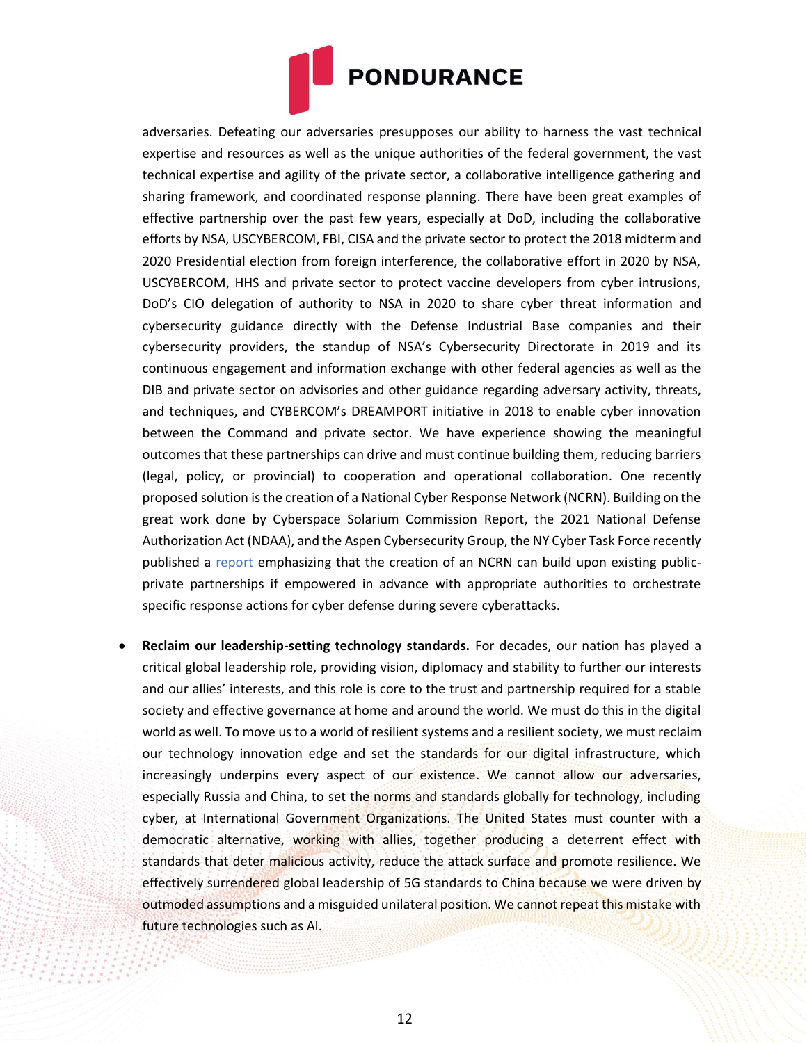

adversaries. Defeating our adversaries presupposes our ability to harness the vast technical expertise and resources as well as the unique authorities of the federal government, the vast technical expertise and agility of the private sector, a collaborative intelligence gathering and sharing framework, and coordinated response planning. There have been great examples of effective partnership over the past few years, especially at DoD, including the collaborative efforts by NSA, USCYBERCOM, FBI, CISA and the private sector to protect the 2018 midterm and 2020 Presidential election from foreign interference, the collaborative effort in 2020 by NSA, USCYBERCOM, HHS and private sector to protect vaccine developers from cyber intrusions, DoD's CIO delegation of authority to NSA in 2020 to share cyber threat information and cybersecurity guidance directly with the Defense Industrial Base companies and their cybersecurity providers, the standup of NSA's Cybersecurity Directorate in 2019 and its continuous engagement and information exchange with other federal agencies as well as the DIB and private sector on advisories and other guidance regarding adversary activity, threats, and techniques, and CYBERCOM's DREAMPORT initiative in 2018 to enable cyber innovation between the Command and private sector. We have experience showing the meaningful outcomes that these partnerships can drive and must continue building them, reducing barriers (legal, policy, or provincial) to cooperation and operational collaboration. One recently proposed solution is the creation of a National Cyber Response Network (NCRN). Building on the great work done by Cyberspace Solarium Commission Report, the 2021 National Defense Authorization Act (NDAA), and the Aspen Cybersecurity Group, the NY Cyber Task Force recently published a [report](https://www.sipa.columbia.edu/sites/default/files/embedded-media/NYCTF-%20Enhancing%20Readiness%20for%20National%20Cyber%20Defense%20through%20Operational%20Collaboration.pdf) emphasizing that the creation of an NCRN can build upon existing publicprivate partnerships if empowered in advance with appropriate authorities to orchestrate specific response actions for cyber defense during severe cyberattacks.

• **Reclaim our leadership-setting technology standards.** For decades, our nation has played a critical global leadership role, providing vision, diplomacy and stability to further our interests and our allies' interests, and this role is core to the trust and partnership required for a stable society and effective governance at home and around the world. We must do this in the digital world as well. To move us to a world of resilient systems and a resilient society, we must reclaim our technology innovation edge and set the standards for our digital infrastructure, which increasingly underpins every aspect of our existence. We cannot allow our adversaries, especially Russia and China, to set the norms and standards globally for technology, including cyber, at International Government Organizations. The United States must counter with a democratic alternative, working with allies, together producing a deterrent effect with standards that deter malicious activity, reduce the attack surface and promote resilience. We effectively surrendered global leadership of 5G standards to China because we were driven by outmoded assumptions and a misguided unilateral position. We cannot repeat this mistake with future technologies such as AI.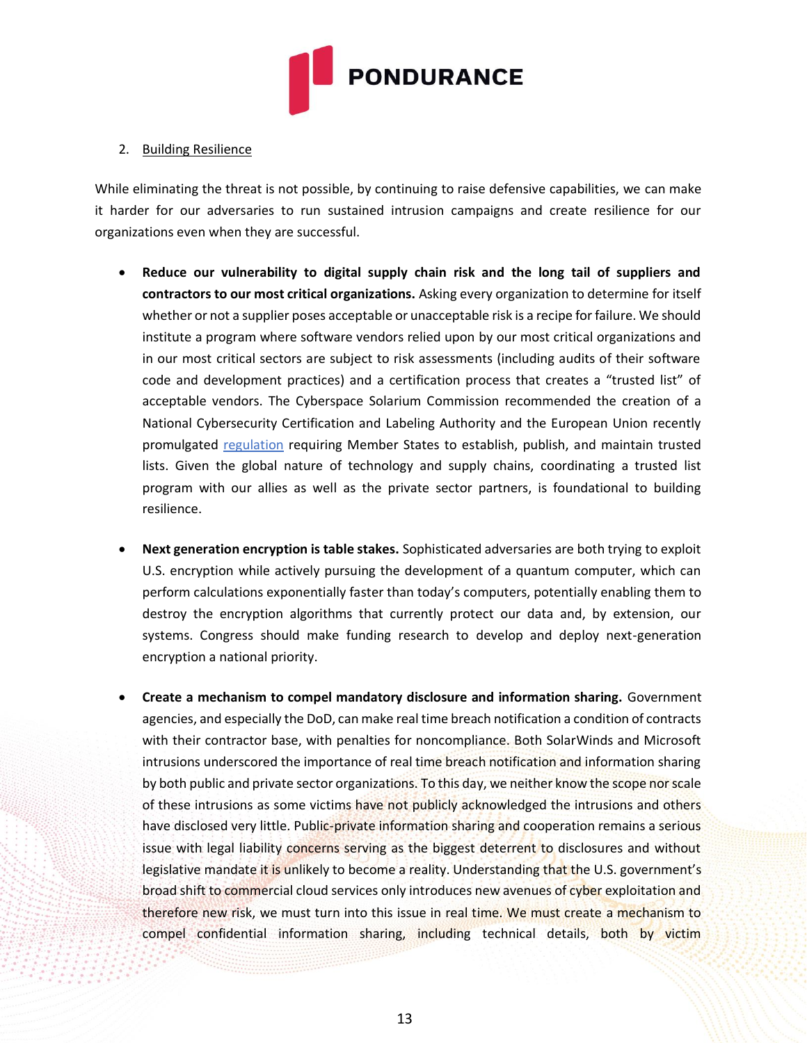

## 2. Building Resilience

While eliminating the threat is not possible, by continuing to raise defensive capabilities, we can make it harder for our adversaries to run sustained intrusion campaigns and create resilience for our organizations even when they are successful.

- **Reduce our vulnerability to digital supply chain risk and the long tail of suppliers and contractors to our most critical organizations.** Asking every organization to determine for itself whether or not a supplier poses acceptable or unacceptable risk is a recipe for failure. We should institute a program where software vendors relied upon by our most critical organizations and in our most critical sectors are subject to risk assessments (including audits of their software code and development practices) and a certification process that creates a "trusted list" of acceptable vendors. The Cyberspace Solarium Commission recommended the creation of a National Cybersecurity Certification and Labeling Authority and the European Union recently promulgated [regulation](https://digital-strategy.ec.europa.eu/en/policies/eu-trusted-lists) requiring Member States to establish, publish, and maintain trusted lists. Given the global nature of technology and supply chains, coordinating a trusted list program with our allies as well as the private sector partners, is foundational to building resilience.
- **Next generation encryption is table stakes.** Sophisticated adversaries are both trying to exploit U.S. encryption while actively pursuing the development of a quantum computer, which can perform calculations exponentially faster than today's computers, potentially enabling them to destroy the encryption algorithms that currently protect our data and, by extension, our systems. Congress should make funding research to develop and deploy next-generation encryption a national priority.
- **Create a mechanism to compel mandatory disclosure and information sharing.** Government agencies, and especially the DoD, can make real time breach notification a condition of contracts with their contractor base, with penalties for noncompliance. Both SolarWinds and Microsoft intrusions underscored the importance of real time breach notification and information sharing by both public and private sector organizations. To this day, we neither know the scope nor scale of these intrusions as some victims have not publicly acknowledged the intrusions and others have disclosed very little. Public-private information sharing and cooperation remains a serious issue with legal liability concerns serving as the biggest deterrent to disclosures and without legislative mandate it is unlikely to become a reality. Understanding that the U.S. government's broad shift to commercial cloud services only introduces new avenues of cyber exploitation and therefore new risk, we must turn into this issue in real time. We must create a mechanism to compel confidential information sharing, including technical details, both by victim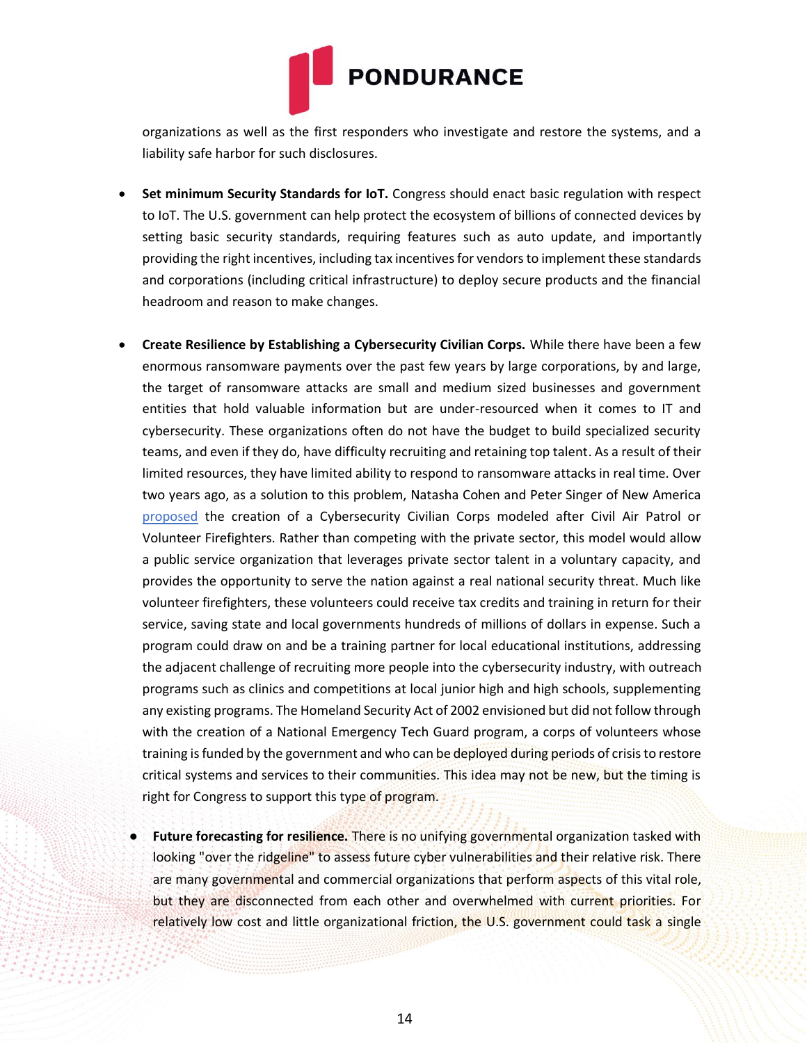

organizations as well as the first responders who investigate and restore the systems, and a liability safe harbor for such disclosures.

- **Set minimum Security Standards for IoT.** Congress should enact basic regulation with respect to IoT. The U.S. government can help protect the ecosystem of billions of connected devices by setting basic security standards, requiring features such as auto update, and importantly providing the right incentives, including tax incentives for vendors to implement these standards and corporations (including critical infrastructure) to deploy secure products and the financial headroom and reason to make changes.
- **Create Resilience by Establishing a Cybersecurity Civilian Corps.** While there have been a few enormous ransomware payments over the past few years by large corporations, by and large, the target of ransomware attacks are small and medium sized businesses and government entities that hold valuable information but are under-resourced when it comes to IT and cybersecurity. These organizations often do not have the budget to build specialized security teams, and even if they do, have difficulty recruiting and retaining top talent. As a result of their limited resources, they have limited ability to respond to ransomware attacks in real time. Over two years ago, as a solution to this problem, Natasha Cohen and Peter Singer of New America [proposed](https://www.newamerica.org/cybersecurity-initiative/reports/need-c3/) the creation of a Cybersecurity Civilian Corps modeled after Civil Air Patrol or Volunteer Firefighters. Rather than competing with the private sector, this model would allow a public service organization that leverages private sector talent in a voluntary capacity, and provides the opportunity to serve the nation against a real national security threat. Much like volunteer firefighters, these volunteers could receive tax credits and training in return for their service, saving state and local governments hundreds of millions of dollars in expense. Such a program could draw on and be a training partner for local educational institutions, addressing the adjacent challenge of recruiting more people into the cybersecurity industry, with outreach programs such as clinics and competitions at local junior high and high schools, supplementing any existing programs. The Homeland Security Act of 2002 envisioned but did not follow through with the creation of a National Emergency Tech Guard program, a corps of volunteers whose training is funded by the government and who can be deployed during periods of crisis to restore critical systems and services to their communities. This idea may not be new, but the timing is right for Congress to support this type of program.
	- **Future forecasting for resilience.** There is no unifying governmental organization tasked with looking "over the ridgeline" to assess future cyber vulnerabilities and their relative risk. There are many governmental and commercial organizations that perform aspects of this vital role, but they are disconnected from each other and overwhelmed with current priorities. For relatively low cost and little organizational friction, the U.S. government could task a single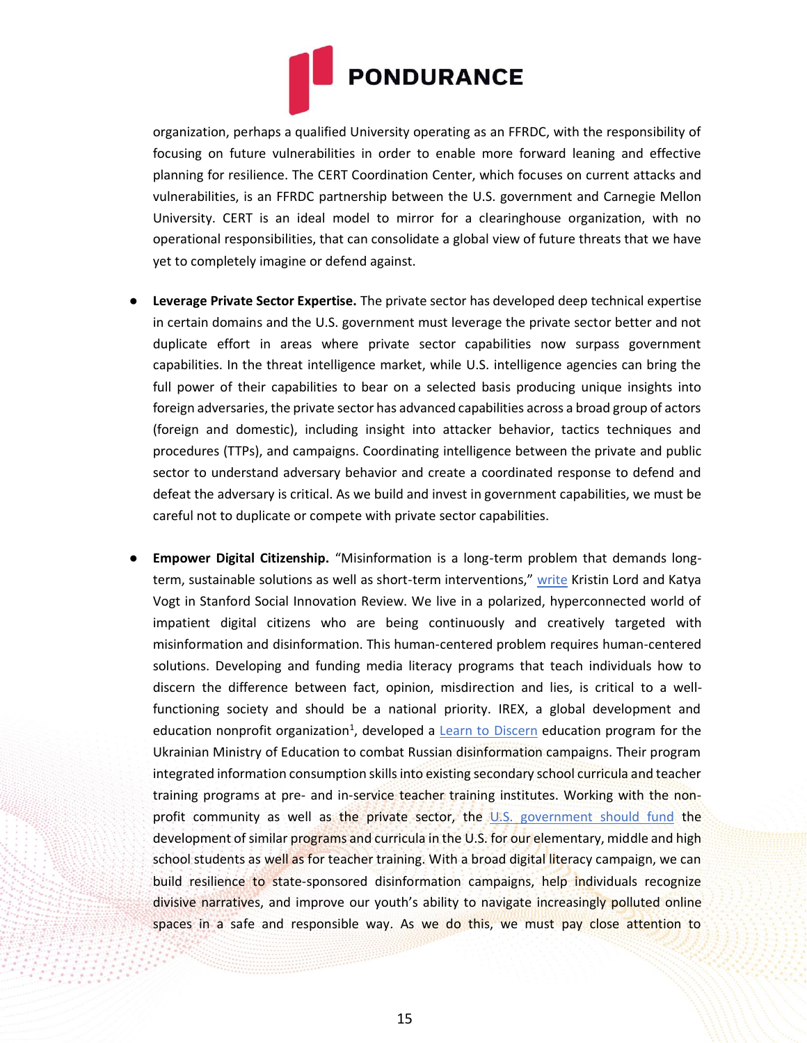

organization, perhaps a qualified University operating as an FFRDC, with the responsibility of focusing on future vulnerabilities in order to enable more forward leaning and effective planning for resilience. The CERT Coordination Center, which focuses on current attacks and vulnerabilities, is an FFRDC partnership between the U.S. government and Carnegie Mellon University. CERT is an ideal model to mirror for a clearinghouse organization, with no operational responsibilities, that can consolidate a global view of future threats that we have yet to completely imagine or defend against.

- **Leverage Private Sector Expertise.** The private sector has developed deep technical expertise in certain domains and the U.S. government must leverage the private sector better and not duplicate effort in areas where private sector capabilities now surpass government capabilities. In the threat intelligence market, while U.S. intelligence agencies can bring the full power of their capabilities to bear on a selected basis producing unique insights into foreign adversaries, the private sector has advanced capabilities across a broad group of actors (foreign and domestic), including insight into attacker behavior, tactics techniques and procedures (TTPs), and campaigns. Coordinating intelligence between the private and public sector to understand adversary behavior and create a coordinated response to defend and defeat the adversary is critical. As we build and invest in government capabilities, we must be careful not to duplicate or compete with private sector capabilities.
- **Empower Digital Citizenship.** "Misinformation is a long-term problem that demands longterm, sustainable solutions as well as short-term interventions," [write](https://ssir.org/articles/entry/strengthen_media_literacy_to_win_the_fight_against_misinformation) Kristin Lord and Katya Vogt in Stanford Social Innovation Review. We live in a polarized, hyperconnected world of impatient digital citizens who are being continuously and creatively targeted with misinformation and disinformation. This human-centered problem requires human-centered solutions. Developing and funding media literacy programs that teach individuals how to discern the difference between fact, opinion, misdirection and lies, is critical to a wellfunctioning society and should be a national priority. IREX, a global development and education nonprofit organization<sup>1</sup>, developed a *Learn to [Discern](https://www.irex.org/project/learn-discern-l2d-media-literacy-training)* education program for the Ukrainian Ministry of Education to combat Russian disinformation campaigns. Their program integrated information consumption skills into existing secondary school curricula and teacher training programs at pre- and in-service teacher training institutes. Working with the nonprofit community as well as the private sector, the [U.S.](https://time.com/5932134/cyber-citizenship-national-priority/) [government should fund](https://time.com/5932134/cyber-citizenship-national-priority/) the development of similar programs and curricula in the U.S. for our elementary, middle and high school students as well as for teacher training. With a broad digital literacy campaign, we can build resilience to state-sponsored disinformation campaigns, help individuals recognize divisive narratives, and improve our youth's ability to navigate increasingly polluted online spaces in a safe and responsible way. As we do this, we must pay close attention to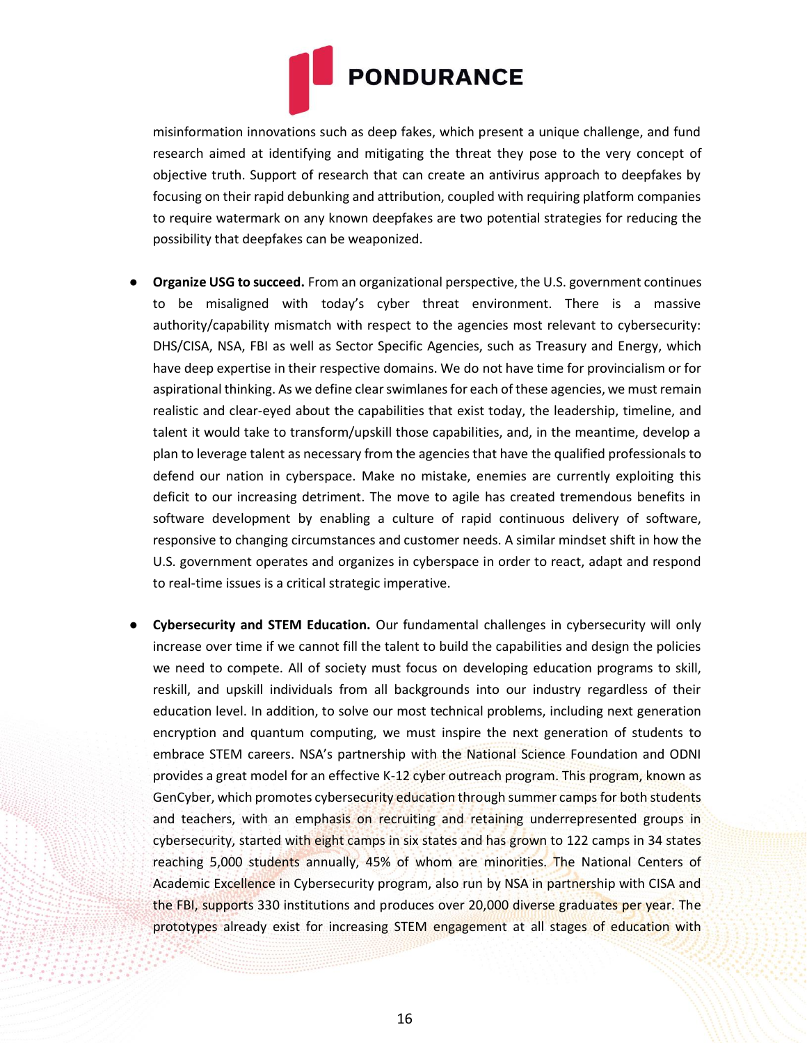

misinformation innovations such as deep fakes, which present a unique challenge, and fund research aimed at identifying and mitigating the threat they pose to the very concept of objective truth. Support of research that can create an antivirus approach to deepfakes by focusing on their rapid debunking and attribution, coupled with requiring platform companies to require watermark on any known deepfakes are two potential strategies for reducing the possibility that deepfakes can be weaponized.

- **Organize USG to succeed.** From an organizational perspective, the U.S. government continues to be misaligned with today's cyber threat environment. There is a massive authority/capability mismatch with respect to the agencies most relevant to cybersecurity: DHS/CISA, NSA, FBI as well as Sector Specific Agencies, such as Treasury and Energy, which have deep expertise in their respective domains. We do not have time for provincialism or for aspirational thinking. As we define clear swimlanes for each of these agencies, we must remain realistic and clear-eyed about the capabilities that exist today, the leadership, timeline, and talent it would take to transform/upskill those capabilities, and, in the meantime, develop a plan to leverage talent as necessary from the agencies that have the qualified professionals to defend our nation in cyberspace. Make no mistake, enemies are currently exploiting this deficit to our increasing detriment. The move to agile has created tremendous benefits in software development by enabling a culture of rapid continuous delivery of software, responsive to changing circumstances and customer needs. A similar mindset shift in how the U.S. government operates and organizes in cyberspace in order to react, adapt and respond to real-time issues is a critical strategic imperative.
- **Cybersecurity and STEM Education.** Our fundamental challenges in cybersecurity will only increase over time if we cannot fill the talent to build the capabilities and design the policies we need to compete. All of society must focus on developing education programs to skill, reskill, and upskill individuals from all backgrounds into our industry regardless of their education level. In addition, to solve our most technical problems, including next generation encryption and quantum computing, we must inspire the next generation of students to embrace STEM careers. NSA's partnership with the National Science Foundation and ODNI provides a great model for an effective K-12 cyber outreach program. This program, known as GenCyber, which promotes cybersecurity education through summer camps for both students and teachers, with an emphasis on recruiting and retaining underrepresented groups in cybersecurity, started with eight camps in six states and has grown to 122 camps in 34 states reaching 5,000 students annually, 45% of whom are minorities. The National Centers of Academic Excellence in Cybersecurity program, also run by NSA in partnership with CISA and the FBI, supports 330 institutions and produces over 20,000 diverse graduates per year. The prototypes already exist for increasing STEM engagement at all stages of education with